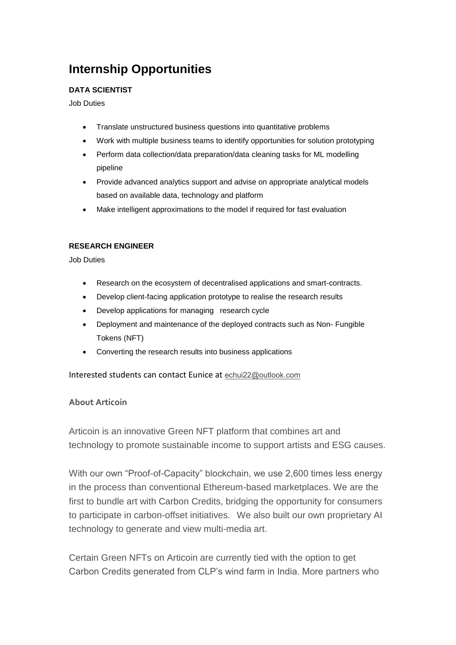## **Internship Opportunities**

## **DATA SCIENTIST**

Job Duties

- Translate unstructured business questions into quantitative problems
- Work with multiple business teams to identify opportunities for solution prototyping
- Perform data collection/data preparation/data cleaning tasks for ML modelling pipeline
- Provide advanced analytics support and advise on appropriate analytical models based on available data, technology and platform
- Make intelligent approximations to the model if required for fast evaluation

## **RESEARCH ENGINEER**

Job Duties

- Research on the ecosystem of decentralised applications and smart-contracts.
- Develop client-facing application prototype to realise the research results
- Develop applications for managing research cycle
- Deployment and maintenance of the deployed contracts such as Non- Fungible Tokens (NFT)
- Converting the research results into business applications

Interested students can contact Eunice at [echui22@outlook.com](mailto:echui22@outlook.com)

## **About Articoin**

Articoin is an innovative Green NFT platform that combines art and technology to promote sustainable income to support artists and ESG causes.

With our own "Proof-of-Capacity" blockchain, we use 2,600 times less energy in the process than conventional Ethereum-based marketplaces. We are the first to bundle art with Carbon Credits, bridging the opportunity for consumers to participate in carbon-offset initiatives. We also built our own proprietary AI technology to generate and view multi-media art.

Certain Green NFTs on Articoin are currently tied with the option to get Carbon Credits generated from CLP's wind farm in India. More partners who